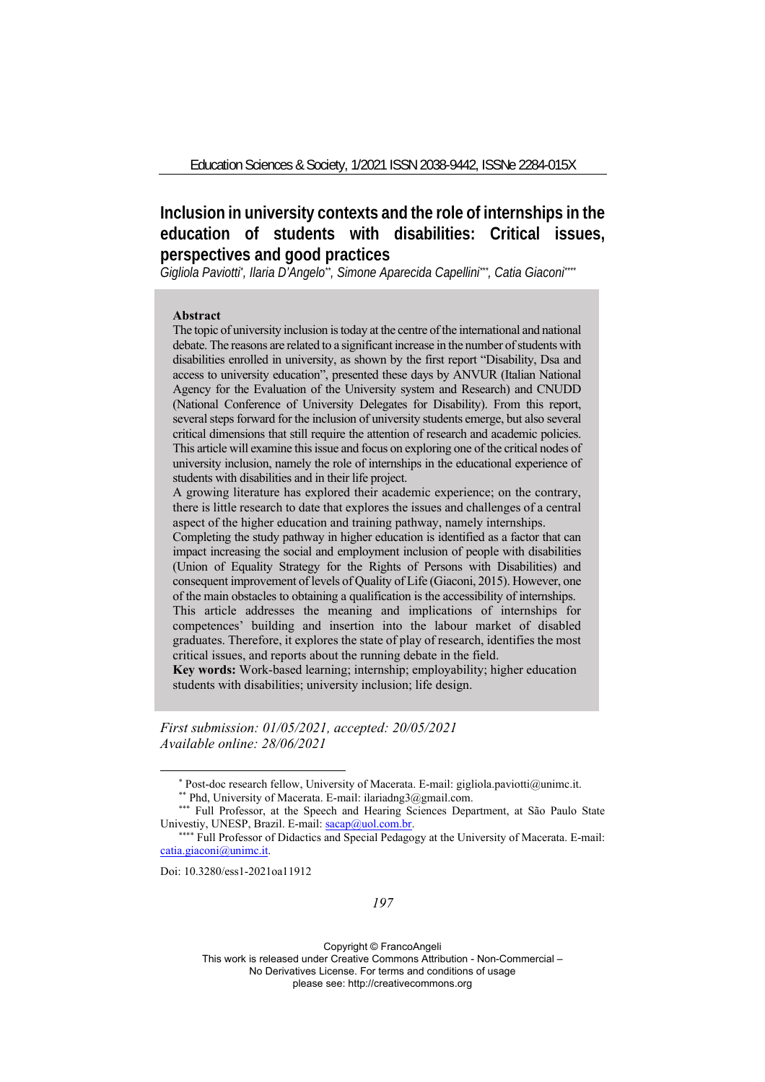# **Inclusion in university contexts and the role of internships in the education of students with disabilities: Critical issues, perspectives and good practices**

Gigliola Paviotti\*, Ilaria D'Angelo\*\*, Simone Aparecida Capellini\*\*\*, Catia Giaconi\*\*\*

#### **Abstract**

The topic of university inclusion is today at the centre of the international and national debate. The reasons are related to a significant increase in the number of students with disabilities enrolled in university, as shown by the first report "Disability, Dsa and access to university education", presented these days by ANVUR (Italian National Agency for the Evaluation of the University system and Research) and CNUDD (National Conference of University Delegates for Disability). From this report, several steps forward for the inclusion of university students emerge, but also several critical dimensions that still require the attention of research and academic policies. This article will examine this issue and focus on exploring one of the critical nodes of university inclusion, namely the role of internships in the educational experience of students with disabilities and in their life project.

A growing literature has explored their academic experience; on the contrary, there is little research to date that explores the issues and challenges of a central aspect of the higher education and training pathway, namely internships.

Completing the study pathway in higher education is identified as a factor that can impact increasing the social and employment inclusion of people with disabilities (Union of Equality Strategy for the Rights of Persons with Disabilities) and consequent improvement of levels of Quality of Life (Giaconi, 2015). However, one of the main obstacles to obtaining a qualification is the accessibility of internships.

This article addresses the meaning and implications of internships for competences' building and insertion into the labour market of disabled graduates. Therefore, it explores the state of play of research, identifies the most critical issues, and reports about the running debate in the field.

**Key words:** Work-based learning; internship; employability; higher education students with disabilities; university inclusion; life design.

*First submission: 17/05/2021, accepted: 20/05/2021 Available online: 28/06/2021*

Doi: 10.3280/ess1-2021oa11912

Copyright © FrancoAngeli

This work is released under Creative Commons Attribution - Non-Commercial –

No Derivatives License. For terms and conditions of usage

please see: http://creativecommons.org

<sup>\*</sup> Post-doc research fellow, University of Macerata. E-mail: gigliola.paviotti@unimc.it.<br>\*\* Phd, University of Macerata. E-mail: ilariadng3@gmail.com.<br>\*\*\* Full Professor, at the Speech and Hearing Sciences Department, at Sã

<sup>\*\*</sup> Full Professor of Didactics and Special Pedagogy at the University of Macerata. E-mail: catia.giaconi@unimc.it.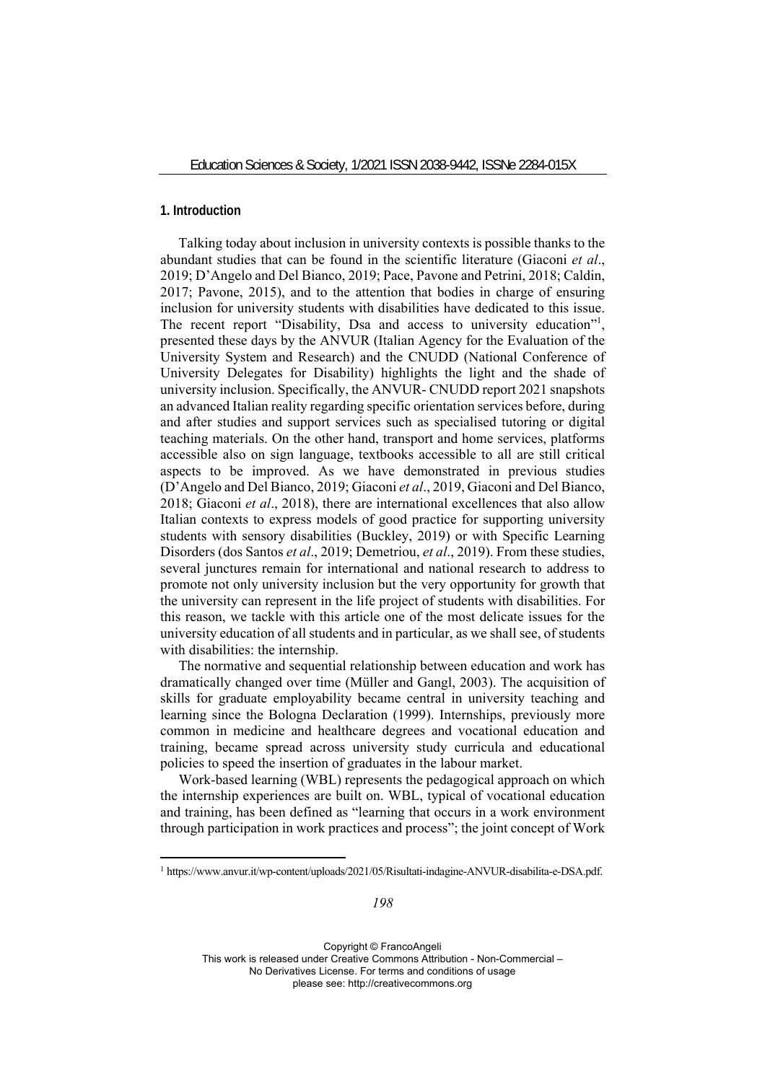## **1. Introduction**

Talking today about inclusion in university contexts is possible thanks to the abundant studies that can be found in the scientific literature (Giaconi *et al*., 2019; D'Angelo and Del Bianco, 2019; Pace, Pavone and Petrini, 2018; Caldin, 2017; Pavone, 2015), and to the attention that bodies in charge of ensuring inclusion for university students with disabilities have dedicated to this issue. The recent report "Disability, Dsa and access to university education"<sup>1</sup>, presented these days by the ANVUR (Italian Agency for the Evaluation of the University System and Research) and the CNUDD (National Conference of University Delegates for Disability) highlights the light and the shade of university inclusion. Specifically, the ANVUR- CNUDD report 2021 snapshots an advanced Italian reality regarding specific orientation services before, during and after studies and support services such as specialised tutoring or digital teaching materials. On the other hand, transport and home services, platforms accessible also on sign language, textbooks accessible to all are still critical aspects to be improved. As we have demonstrated in previous studies (D'Angelo and Del Bianco, 2019; Giaconi *et al*., 2019, Giaconi and Del Bianco, 2018; Giaconi *et al*., 2018), there are international excellences that also allow Italian contexts to express models of good practice for supporting university students with sensory disabilities (Buckley, 2019) or with Specific Learning Disorders (dos Santos *et al*., 2019; Demetriou, *et al*., 2019). From these studies, several junctures remain for international and national research to address to promote not only university inclusion but the very opportunity for growth that the university can represent in the life project of students with disabilities. For this reason, we tackle with this article one of the most delicate issues for the university education of all students and in particular, as we shall see, of students with disabilities: the internship.

The normative and sequential relationship between education and work has dramatically changed over time (Müller and Gangl, 2003). The acquisition of skills for graduate employability became central in university teaching and learning since the Bologna Declaration (1999). Internships, previously more common in medicine and healthcare degrees and vocational education and training, became spread across university study curricula and educational policies to speed the insertion of graduates in the labour market.

Work-based learning (WBL) represents the pedagogical approach on which the internship experiences are built on. WBL, typical of vocational education and training, has been defined as "learning that occurs in a work environment through participation in work practices and process"; the joint concept of Work

*198* 

<sup>1</sup> https://www.anvur.it/wp-content/uploads/2021/05/Risultati-indagine-ANVUR-disabilita-e-DSA.pdf.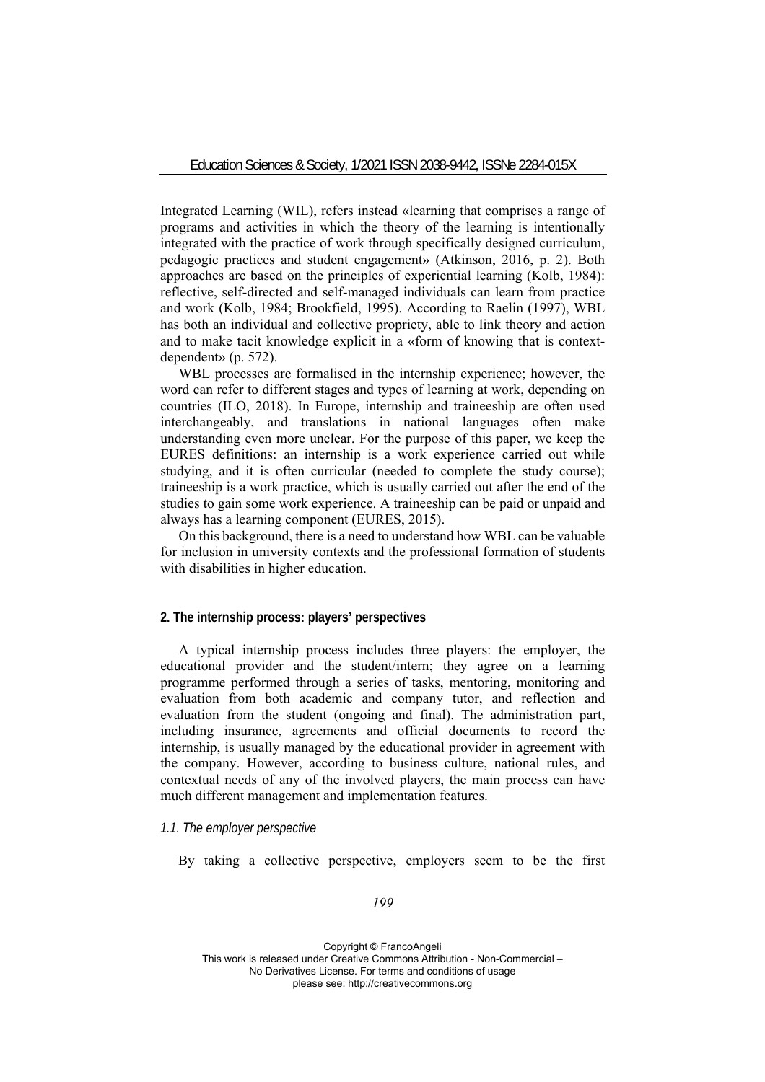Integrated Learning (WIL), refers instead «learning that comprises a range of programs and activities in which the theory of the learning is intentionally integrated with the practice of work through specifically designed curriculum, pedagogic practices and student engagement» (Atkinson, 2016, p. 2). Both approaches are based on the principles of experiential learning (Kolb, 1984): reflective, self-directed and self-managed individuals can learn from practice and work (Kolb, 1984; Brookfield, 1995). According to Raelin (1997), WBL has both an individual and collective propriety, able to link theory and action and to make tacit knowledge explicit in a «form of knowing that is contextdependent» (p. 572).

WBL processes are formalised in the internship experience; however, the word can refer to different stages and types of learning at work, depending on countries (ILO, 2018). In Europe, internship and traineeship are often used interchangeably, and translations in national languages often make understanding even more unclear. For the purpose of this paper, we keep the EURES definitions: an internship is a work experience carried out while studying, and it is often curricular (needed to complete the study course); traineeship is a work practice, which is usually carried out after the end of the studies to gain some work experience. A traineeship can be paid or unpaid and always has a learning component (EURES, 2015).

On this background, there is a need to understand how WBL can be valuable for inclusion in university contexts and the professional formation of students with disabilities in higher education.

# **2. The internship process: players' perspectives**

A typical internship process includes three players: the employer, the educational provider and the student/intern; they agree on a learning programme performed through a series of tasks, mentoring, monitoring and evaluation from both academic and company tutor, and reflection and evaluation from the student (ongoing and final). The administration part, including insurance, agreements and official documents to record the internship, is usually managed by the educational provider in agreement with the company. However, according to business culture, national rules, and contextual needs of any of the involved players, the main process can have much different management and implementation features.

## *1.1. The employer perspective*

By taking a collective perspective, employers seem to be the first

*199*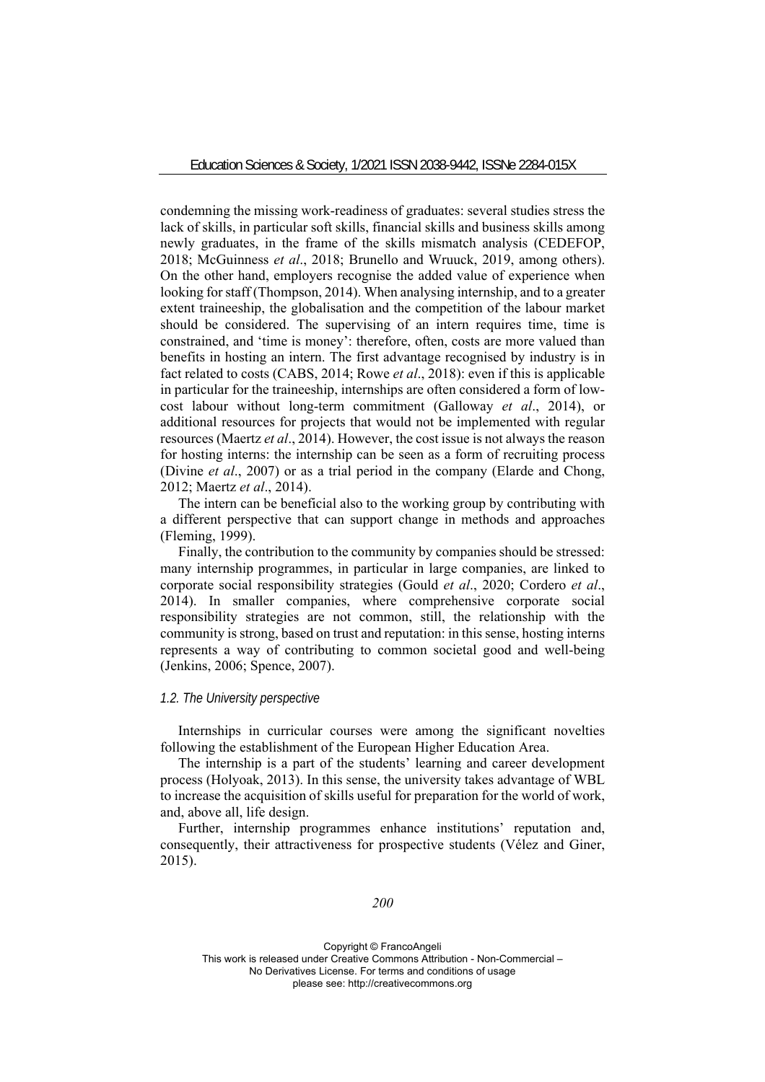condemning the missing work-readiness of graduates: several studies stress the lack of skills, in particular soft skills, financial skills and business skills among newly graduates, in the frame of the skills mismatch analysis (CEDEFOP, 2018; McGuinness *et al*., 2018; Brunello and Wruuck, 2019, among others). On the other hand, employers recognise the added value of experience when looking for staff (Thompson, 2014). When analysing internship, and to a greater extent traineeship, the globalisation and the competition of the labour market should be considered. The supervising of an intern requires time, time is constrained, and 'time is money': therefore, often, costs are more valued than benefits in hosting an intern. The first advantage recognised by industry is in fact related to costs (CABS, 2014; Rowe *et al*., 2018): even if this is applicable in particular for the traineeship, internships are often considered a form of lowcost labour without long-term commitment (Galloway *et al*., 2014), or additional resources for projects that would not be implemented with regular resources (Maertz *et al*., 2014). However, the cost issue is not always the reason for hosting interns: the internship can be seen as a form of recruiting process (Divine *et al*., 2007) or as a trial period in the company (Elarde and Chong, 2012; Maertz *et al*., 2014).

The intern can be beneficial also to the working group by contributing with a different perspective that can support change in methods and approaches (Fleming, 1999).

Finally, the contribution to the community by companies should be stressed: many internship programmes, in particular in large companies, are linked to corporate social responsibility strategies (Gould *et al*., 2020; Cordero *et al*., 2014). In smaller companies, where comprehensive corporate social responsibility strategies are not common, still, the relationship with the community is strong, based on trust and reputation: in this sense, hosting interns represents a way of contributing to common societal good and well-being (Jenkins, 2006; Spence, 2007).

#### *1.2. The University perspective*

Internships in curricular courses were among the significant novelties following the establishment of the European Higher Education Area.

The internship is a part of the students' learning and career development process (Holyoak, 2013). In this sense, the university takes advantage of WBL to increase the acquisition of skills useful for preparation for the world of work, and, above all, life design.

Further, internship programmes enhance institutions' reputation and, consequently, their attractiveness for prospective students (Vélez and Giner, 2015).

*200*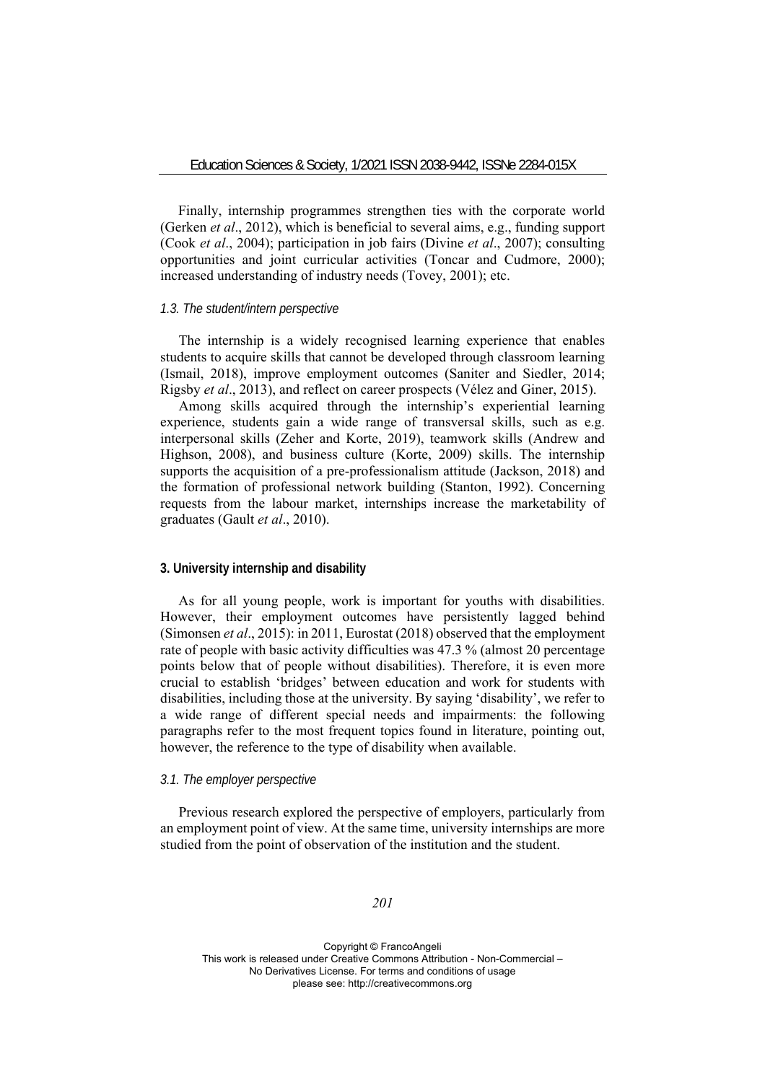Finally, internship programmes strengthen ties with the corporate world (Gerken *et al*., 2012), which is beneficial to several aims, e.g., funding support (Cook *et al*., 2004); participation in job fairs (Divine *et al*., 2007); consulting opportunities and joint curricular activities (Toncar and Cudmore, 2000); increased understanding of industry needs (Tovey, 2001); etc.

#### *1.3. The student/intern perspective*

The internship is a widely recognised learning experience that enables students to acquire skills that cannot be developed through classroom learning (Ismail, 2018), improve employment outcomes (Saniter and Siedler, 2014; Rigsby *et al*., 2013), and reflect on career prospects (Vélez and Giner, 2015).

Among skills acquired through the internship's experiential learning experience, students gain a wide range of transversal skills, such as e.g. interpersonal skills (Zeher and Korte, 2019), teamwork skills (Andrew and Highson, 2008), and business culture (Korte, 2009) skills. The internship supports the acquisition of a pre-professionalism attitude (Jackson, 2018) and the formation of professional network building (Stanton, 1992). Concerning requests from the labour market, internships increase the marketability of graduates (Gault *et al*., 2010).

## **3. University internship and disability**

As for all young people, work is important for youths with disabilities. However, their employment outcomes have persistently lagged behind (Simonsen *et al*., 2015): in 2011, Eurostat (2018) observed that the employment rate of people with basic activity difficulties was 47.3 % (almost 20 percentage points below that of people without disabilities). Therefore, it is even more crucial to establish 'bridges' between education and work for students with disabilities, including those at the university. By saying 'disability', we refer to a wide range of different special needs and impairments: the following paragraphs refer to the most frequent topics found in literature, pointing out, however, the reference to the type of disability when available.

## *3.1. The employer perspective*

Previous research explored the perspective of employers, particularly from an employment point of view. At the same time, university internships are more studied from the point of observation of the institution and the student.

#### *201*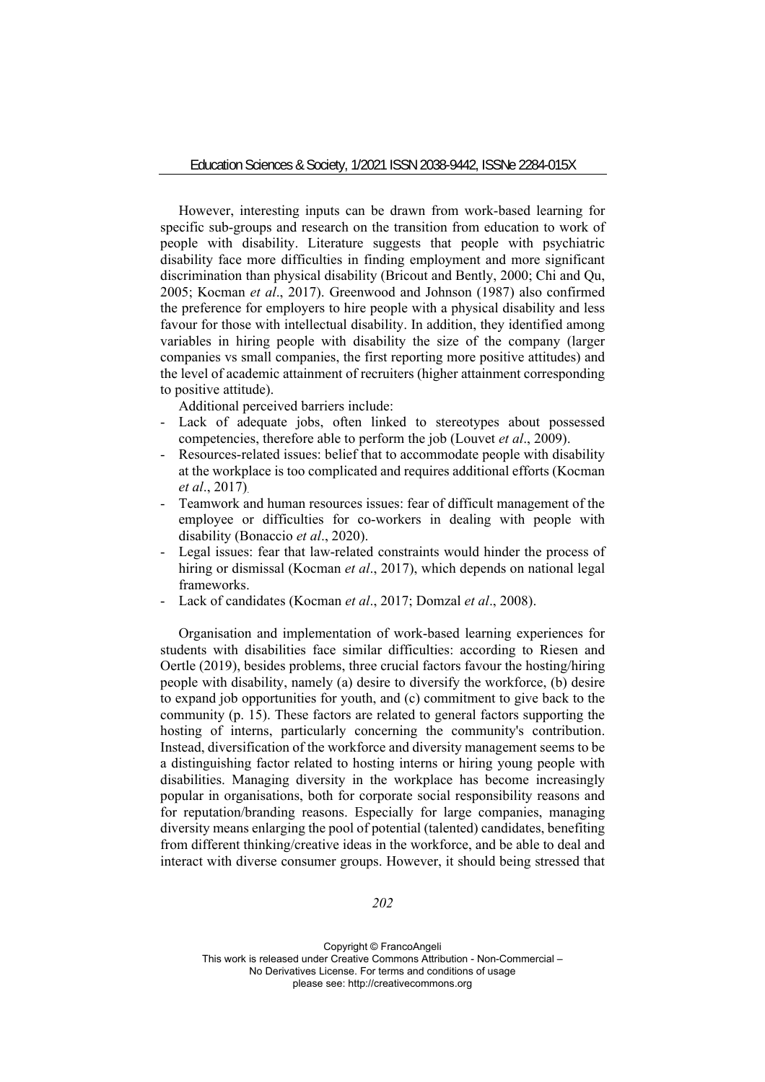However, interesting inputs can be drawn from work-based learning for specific sub-groups and research on the transition from education to work of people with disability. Literature suggests that people with psychiatric disability face more difficulties in finding employment and more significant discrimination than physical disability (Bricout and Bently, 2000; Chi and Qu, 2005; Kocman *et al*., 2017). Greenwood and Johnson (1987) also confirmed the preference for employers to hire people with a physical disability and less favour for those with intellectual disability. In addition, they identified among variables in hiring people with disability the size of the company (larger companies vs small companies, the first reporting more positive attitudes) and the level of academic attainment of recruiters (higher attainment corresponding to positive attitude).

Additional perceived barriers include:

- Lack of adequate jobs, often linked to stereotypes about possessed competencies, therefore able to perform the job (Louvet *et al*., 2009).
- Resources-related issues: belief that to accommodate people with disability at the workplace is too complicated and requires additional efforts (Kocman *et al*., 2017).
- Teamwork and human resources issues: fear of difficult management of the employee or difficulties for co-workers in dealing with people with disability (Bonaccio *et al*., 2020).
- Legal issues: fear that law-related constraints would hinder the process of hiring or dismissal (Kocman *et al*., 2017), which depends on national legal frameworks.
- Lack of candidates (Kocman *et al*., 2017; Domzal *et al*., 2008).

Organisation and implementation of work-based learning experiences for students with disabilities face similar difficulties: according to Riesen and Oertle (2019), besides problems, three crucial factors favour the hosting/hiring people with disability, namely (a) desire to diversify the workforce, (b) desire to expand job opportunities for youth, and (c) commitment to give back to the community (p. 15). These factors are related to general factors supporting the hosting of interns, particularly concerning the community's contribution. Instead, diversification of the workforce and diversity management seems to be a distinguishing factor related to hosting interns or hiring young people with disabilities. Managing diversity in the workplace has become increasingly popular in organisations, both for corporate social responsibility reasons and for reputation/branding reasons. Especially for large companies, managing diversity means enlarging the pool of potential (talented) candidates, benefiting from different thinking/creative ideas in the workforce, and be able to deal and interact with diverse consumer groups. However, it should being stressed that

*202*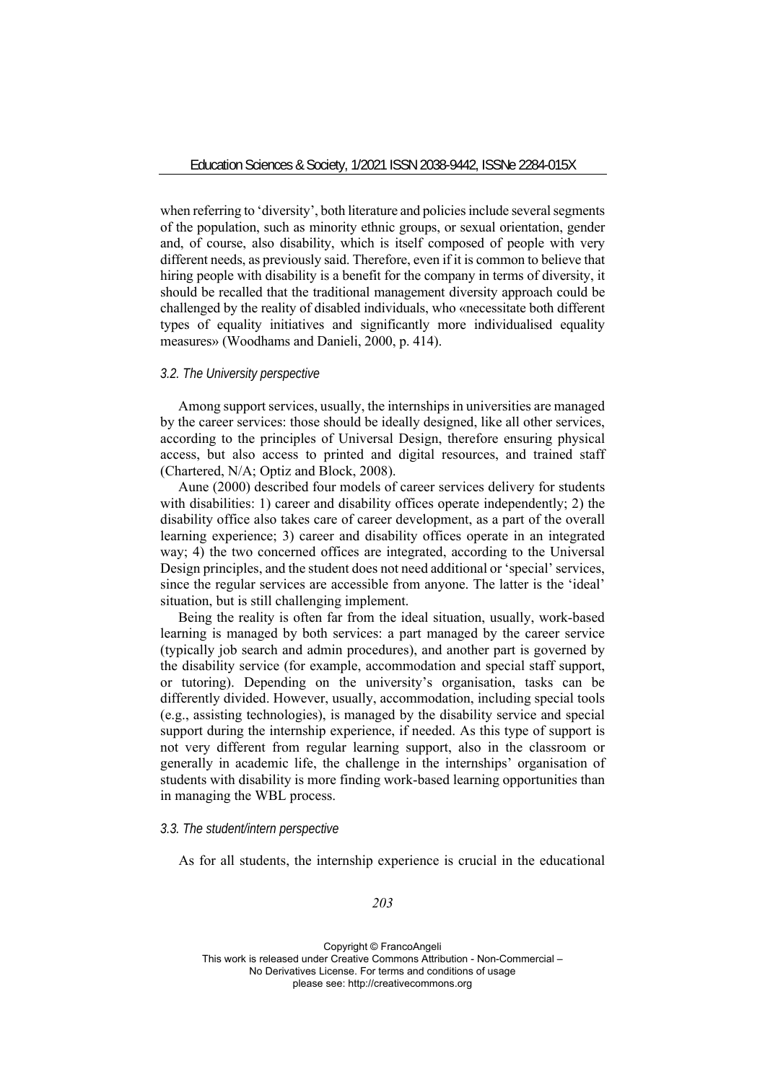when referring to 'diversity', both literature and policies include several segments of the population, such as minority ethnic groups, or sexual orientation, gender and, of course, also disability, which is itself composed of people with very different needs, as previously said. Therefore, even if it is common to believe that hiring people with disability is a benefit for the company in terms of diversity, it should be recalled that the traditional management diversity approach could be challenged by the reality of disabled individuals, who «necessitate both different types of equality initiatives and significantly more individualised equality measures» (Woodhams and Danieli, 2000, p. 414).

# *3.2. The University perspective*

Among support services, usually, the internships in universities are managed by the career services: those should be ideally designed, like all other services, according to the principles of Universal Design, therefore ensuring physical access, but also access to printed and digital resources, and trained staff (Chartered, N/A; Optiz and Block, 2008).

Aune (2000) described four models of career services delivery for students with disabilities: 1) career and disability offices operate independently; 2) the disability office also takes care of career development, as a part of the overall learning experience; 3) career and disability offices operate in an integrated way; 4) the two concerned offices are integrated, according to the Universal Design principles, and the student does not need additional or 'special' services, since the regular services are accessible from anyone. The latter is the 'ideal' situation, but is still challenging implement.

Being the reality is often far from the ideal situation, usually, work-based learning is managed by both services: a part managed by the career service (typically job search and admin procedures), and another part is governed by the disability service (for example, accommodation and special staff support, or tutoring). Depending on the university's organisation, tasks can be differently divided. However, usually, accommodation, including special tools (e.g., assisting technologies), is managed by the disability service and special support during the internship experience, if needed. As this type of support is not very different from regular learning support, also in the classroom or generally in academic life, the challenge in the internships' organisation of students with disability is more finding work-based learning opportunities than in managing the WBL process.

## *3.3. The student/intern perspective*

As for all students, the internship experience is crucial in the educational

*203*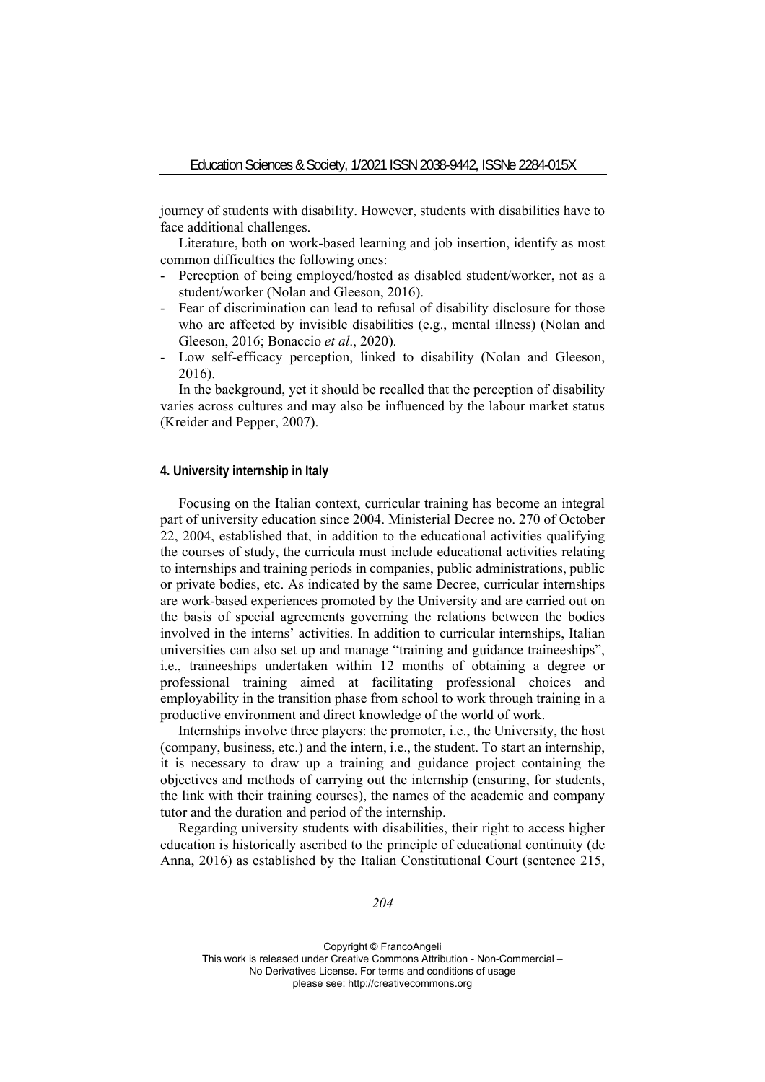journey of students with disability. However, students with disabilities have to face additional challenges.

Literature, both on work-based learning and job insertion, identify as most common difficulties the following ones:

- Perception of being employed/hosted as disabled student/worker, not as a student/worker (Nolan and Gleeson, 2016).
- Fear of discrimination can lead to refusal of disability disclosure for those who are affected by invisible disabilities (e.g., mental illness) (Nolan and Gleeson, 2016; Bonaccio *et al*., 2020).
- Low self-efficacy perception, linked to disability (Nolan and Gleeson, 2016).

In the background, yet it should be recalled that the perception of disability varies across cultures and may also be influenced by the labour market status (Kreider and Pepper, 2007).

#### **4. University internship in Italy**

Focusing on the Italian context, curricular training has become an integral part of university education since 2004. Ministerial Decree no. 270 of October 22, 2004, established that, in addition to the educational activities qualifying the courses of study, the curricula must include educational activities relating to internships and training periods in companies, public administrations, public or private bodies, etc. As indicated by the same Decree, curricular internships are work-based experiences promoted by the University and are carried out on the basis of special agreements governing the relations between the bodies involved in the interns' activities. In addition to curricular internships, Italian universities can also set up and manage "training and guidance traineeships", i.e., traineeships undertaken within 12 months of obtaining a degree or professional training aimed at facilitating professional choices and employability in the transition phase from school to work through training in a productive environment and direct knowledge of the world of work.

Internships involve three players: the promoter, i.e., the University, the host (company, business, etc.) and the intern, i.e., the student. To start an internship, it is necessary to draw up a training and guidance project containing the objectives and methods of carrying out the internship (ensuring, for students, the link with their training courses), the names of the academic and company tutor and the duration and period of the internship.

Regarding university students with disabilities, their right to access higher education is historically ascribed to the principle of educational continuity (de Anna, 2016) as established by the Italian Constitutional Court (sentence 215,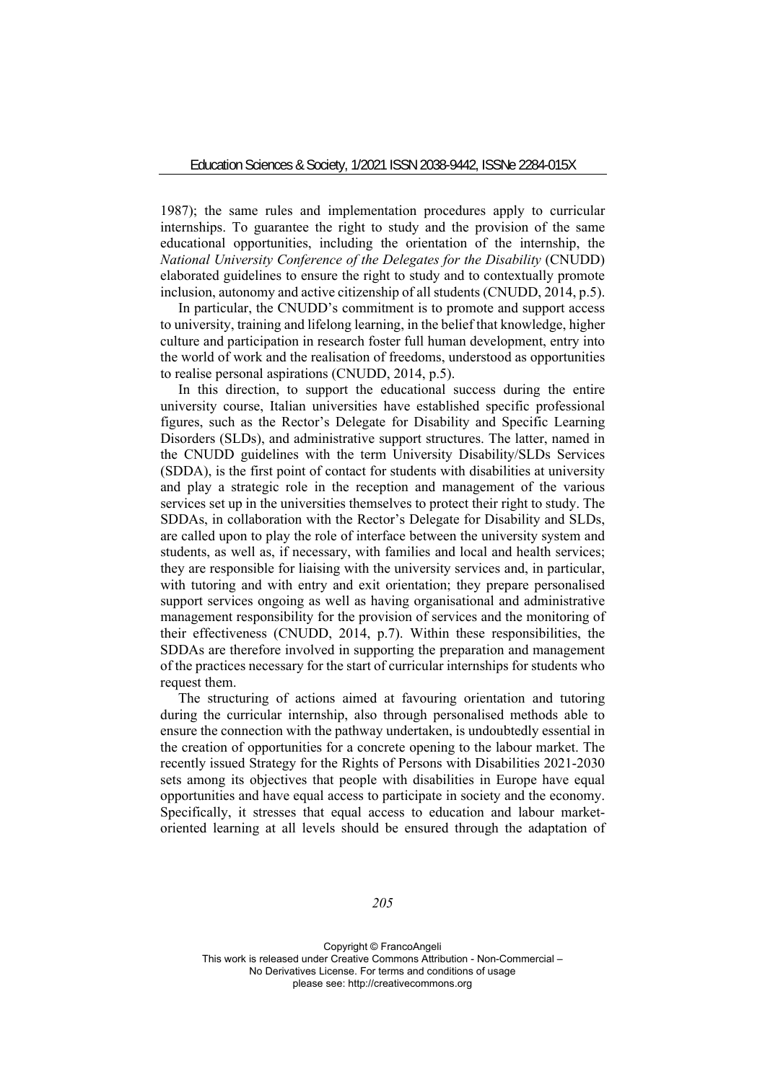1987); the same rules and implementation procedures apply to curricular internships. To guarantee the right to study and the provision of the same educational opportunities, including the orientation of the internship, the *National University Conference of the Delegates for the Disability* (CNUDD) elaborated guidelines to ensure the right to study and to contextually promote inclusion, autonomy and active citizenship of all students (CNUDD, 2014, p.5).

In particular, the CNUDD's commitment is to promote and support access to university, training and lifelong learning, in the belief that knowledge, higher culture and participation in research foster full human development, entry into the world of work and the realisation of freedoms, understood as opportunities to realise personal aspirations (CNUDD, 2014, p.5).

In this direction, to support the educational success during the entire university course, Italian universities have established specific professional figures, such as the Rector's Delegate for Disability and Specific Learning Disorders (SLDs), and administrative support structures. The latter, named in the CNUDD guidelines with the term University Disability/SLDs Services (SDDA), is the first point of contact for students with disabilities at university and play a strategic role in the reception and management of the various services set up in the universities themselves to protect their right to study. The SDDAs, in collaboration with the Rector's Delegate for Disability and SLDs, are called upon to play the role of interface between the university system and students, as well as, if necessary, with families and local and health services; they are responsible for liaising with the university services and, in particular, with tutoring and with entry and exit orientation; they prepare personalised support services ongoing as well as having organisational and administrative management responsibility for the provision of services and the monitoring of their effectiveness (CNUDD, 2014, p.7). Within these responsibilities, the SDDAs are therefore involved in supporting the preparation and management of the practices necessary for the start of curricular internships for students who request them.

The structuring of actions aimed at favouring orientation and tutoring during the curricular internship, also through personalised methods able to ensure the connection with the pathway undertaken, is undoubtedly essential in the creation of opportunities for a concrete opening to the labour market. The recently issued Strategy for the Rights of Persons with Disabilities 2021-2030 sets among its objectives that people with disabilities in Europe have equal opportunities and have equal access to participate in society and the economy. Specifically, it stresses that equal access to education and labour marketoriented learning at all levels should be ensured through the adaptation of

*205*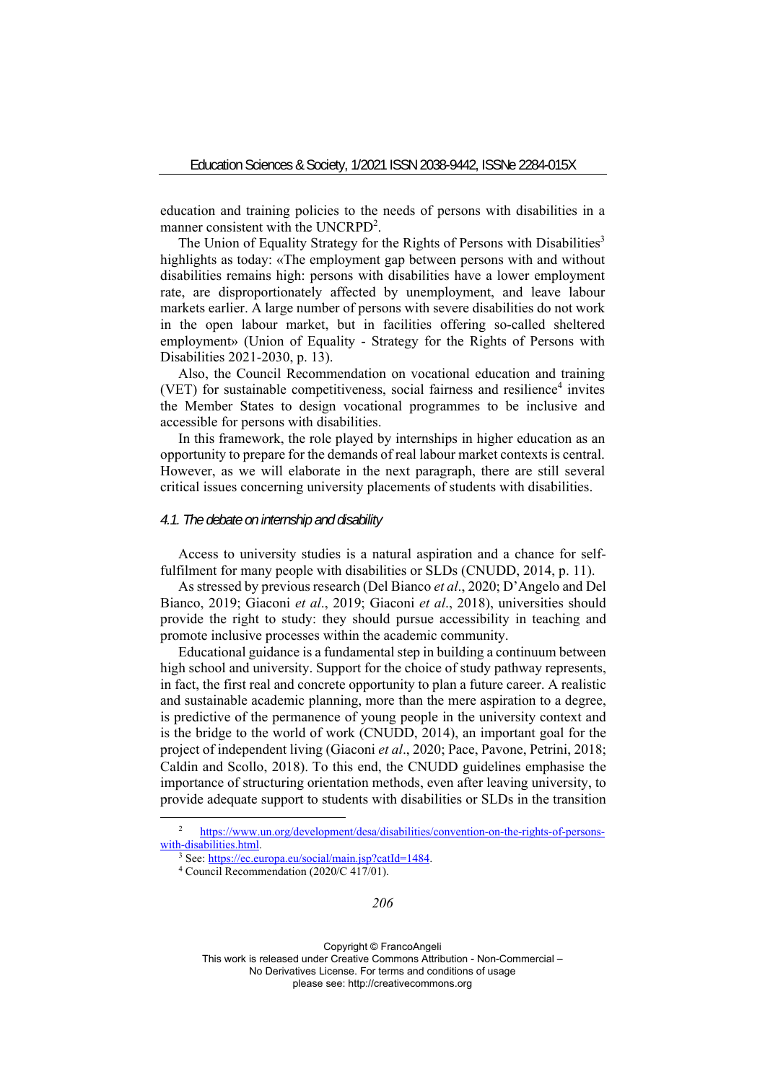education and training policies to the needs of persons with disabilities in a manner consistent with the UNCRPD<sup>2</sup>.

The Union of Equality Strategy for the Rights of Persons with Disabilities<sup>3</sup> highlights as today: «The employment gap between persons with and without disabilities remains high: persons with disabilities have a lower employment rate, are disproportionately affected by unemployment, and leave labour markets earlier. A large number of persons with severe disabilities do not work in the open labour market, but in facilities offering so-called sheltered employment» (Union of Equality - Strategy for the Rights of Persons with Disabilities 2021-2030, p. 13).

Also, the Council Recommendation on vocational education and training (VET) for sustainable competitiveness, social fairness and resilience<sup>4</sup> invites the Member States to design vocational programmes to be inclusive and accessible for persons with disabilities.

In this framework, the role played by internships in higher education as an opportunity to prepare for the demands of real labour market contexts is central. However, as we will elaborate in the next paragraph, there are still several critical issues concerning university placements of students with disabilities.

#### *4.1. The debate on internship and disability*

Access to university studies is a natural aspiration and a chance for selffulfilment for many people with disabilities or SLDs (CNUDD, 2014, p. 11).

As stressed by previous research (Del Bianco *et al*., 2020; D'Angelo and Del Bianco, 2019; Giaconi *et al*., 2019; Giaconi *et al*., 2018), universities should provide the right to study: they should pursue accessibility in teaching and promote inclusive processes within the academic community.

Educational guidance is a fundamental step in building a continuum between high school and university. Support for the choice of study pathway represents, in fact, the first real and concrete opportunity to plan a future career. A realistic and sustainable academic planning, more than the mere aspiration to a degree, is predictive of the permanence of young people in the university context and is the bridge to the world of work (CNUDD, 2014), an important goal for the project of independent living (Giaconi *et al*., 2020; Pace, Pavone, Petrini, 2018; Caldin and Scollo, 2018). To this end, the CNUDD guidelines emphasise the importance of structuring orientation methods, even after leaving university, to provide adequate support to students with disabilities or SLDs in the transition

*206* 

Copyright © FrancoAngeli

This work is released under Creative Commons Attribution - Non-Commercial –

No Derivatives License. For terms and conditions of usage

please see: http://creativecommons.org

<sup>2</sup> https://www.un.org/development/desa/disabilities/convention-on-the-rights-of-personswith-disabilities.html.<br><sup>3</sup> See: https://ec.europa.eu/social/main.jsp?catId=1484.<br><sup>4</sup> Council Recommendation (2020/C 417/01).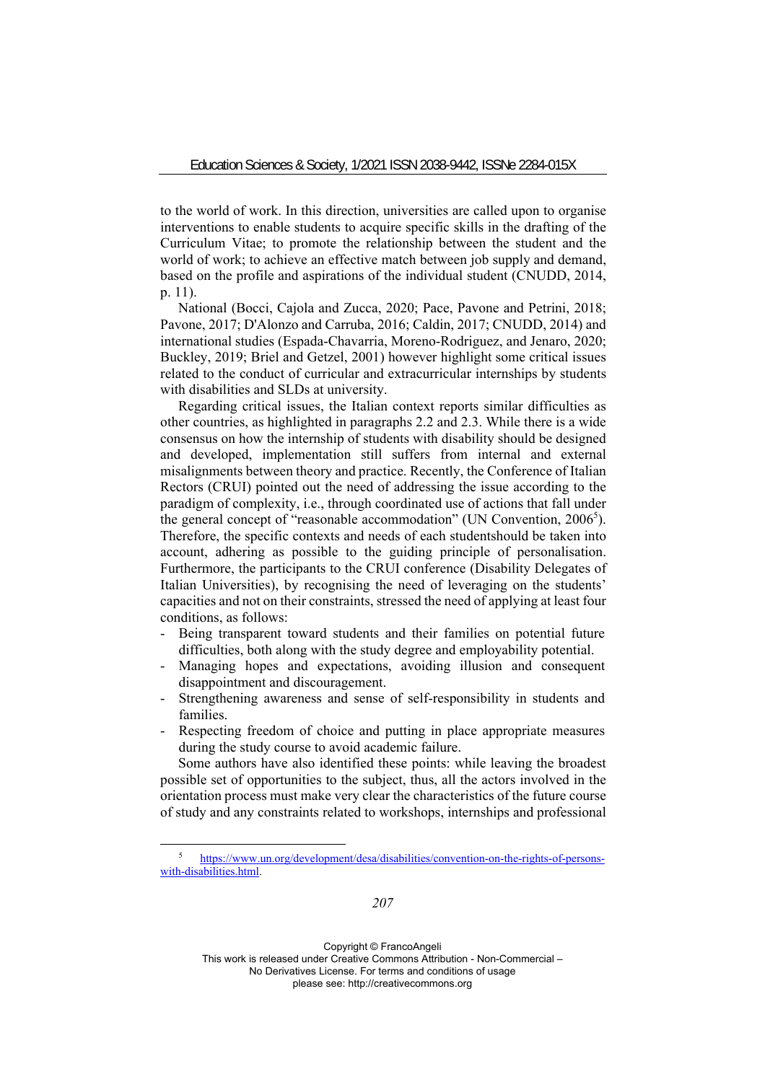to the world of work. In this direction, universities are called upon to organise interventions to enable students to acquire specific skills in the drafting of the Curriculum Vitae; to promote the relationship between the student and the world of work; to achieve an effective match between job supply and demand, based on the profile and aspirations of the individual student (CNUDD, 2014, p. 11).

National (Bocci, Cajola and Zucca, 2020; Pace, Pavone and Petrini, 2018; Pavone, 2017; D'Alonzo and Carruba, 2016; Caldin, 2017; CNUDD, 2014) and international studies (Espada-Chavarria, Moreno-Rodriguez, and Jenaro, 2020; Buckley, 2019; Briel and Getzel, 2001) however highlight some critical issues related to the conduct of curricular and extracurricular internships by students with disabilities and SLDs at university.

Regarding critical issues, the Italian context reports similar difficulties as other countries, as highlighted in paragraphs 2.2 and 2.3. While there is a wide consensus on how the internship of students with disability should be designed and developed, implementation still suffers from internal and external misalignments between theory and practice. Recently, the Conference of Italian Rectors (CRUI) pointed out the need of addressing the issue according to the paradigm of complexity, i.e., through coordinated use of actions that fall under the general concept of "reasonable accommodation" (UN Convention,  $2006^5$ ). Therefore, the specific contexts and needs of each studentshould be taken into account, adhering as possible to the guiding principle of personalisation. Furthermore, the participants to the CRUI conference (Disability Delegates of Italian Universities), by recognising the need of leveraging on the students' capacities and not on their constraints, stressed the need of applying at least four conditions, as follows:

- Being transparent toward students and their families on potential future difficulties, both along with the study degree and employability potential.
- Managing hopes and expectations, avoiding illusion and consequent disappointment and discouragement.
- Strengthening awareness and sense of self-responsibility in students and families.
- Respecting freedom of choice and putting in place appropriate measures during the study course to avoid academic failure.

Some authors have also identified these points: while leaving the broadest possible set of opportunities to the subject, thus, all the actors involved in the orientation process must make very clear the characteristics of the future course of study and any constraints related to workshops, internships and professional

<sup>5</sup> https://www.un.org/development/desa/disabilities/convention-on-the-rights-of-personswith-disabilities.html.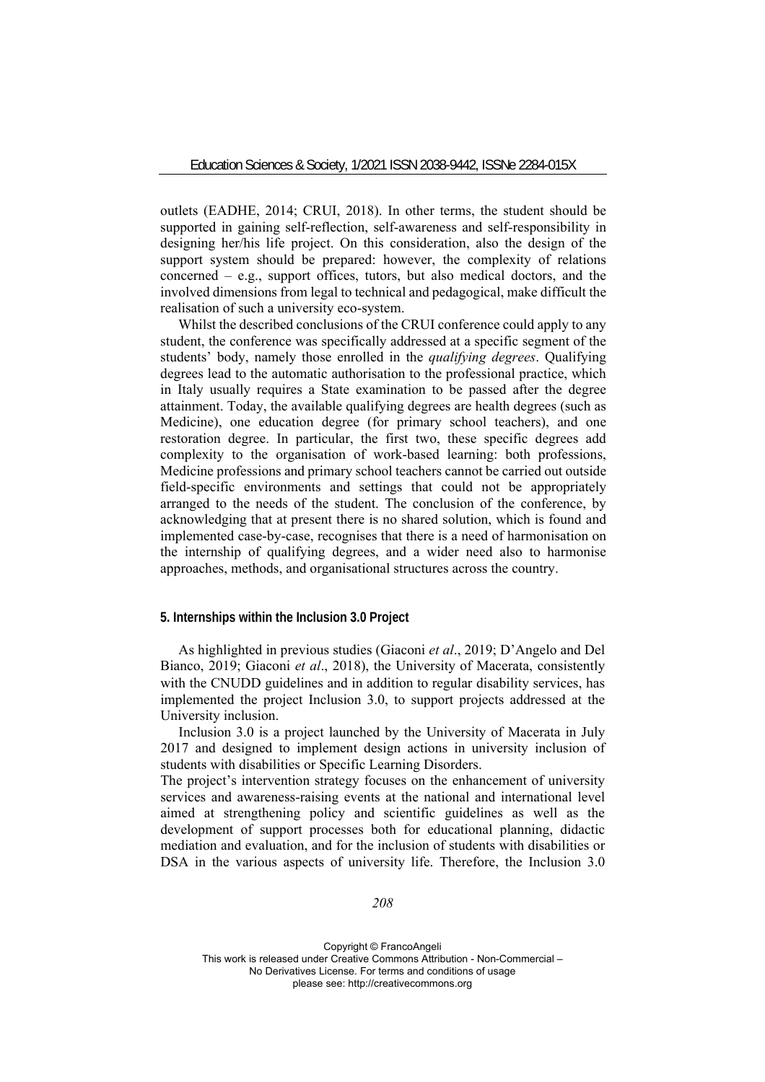outlets (EADHE, 2014; CRUI, 2018). In other terms, the student should be supported in gaining self-reflection, self-awareness and self-responsibility in designing her/his life project. On this consideration, also the design of the support system should be prepared: however, the complexity of relations concerned – e.g., support offices, tutors, but also medical doctors, and the involved dimensions from legal to technical and pedagogical, make difficult the realisation of such a university eco-system.

Whilst the described conclusions of the CRUI conference could apply to any student, the conference was specifically addressed at a specific segment of the students' body, namely those enrolled in the *qualifying degrees*. Qualifying degrees lead to the automatic authorisation to the professional practice, which in Italy usually requires a State examination to be passed after the degree attainment. Today, the available qualifying degrees are health degrees (such as Medicine), one education degree (for primary school teachers), and one restoration degree. In particular, the first two, these specific degrees add complexity to the organisation of work-based learning: both professions, Medicine professions and primary school teachers cannot be carried out outside field-specific environments and settings that could not be appropriately arranged to the needs of the student. The conclusion of the conference, by acknowledging that at present there is no shared solution, which is found and implemented case-by-case, recognises that there is a need of harmonisation on the internship of qualifying degrees, and a wider need also to harmonise approaches, methods, and organisational structures across the country.

# **5. Internships within the Inclusion 3.0 Project**

As highlighted in previous studies (Giaconi *et al*., 2019; D'Angelo and Del Bianco, 2019; Giaconi *et al*., 2018), the University of Macerata, consistently with the CNUDD guidelines and in addition to regular disability services, has implemented the project Inclusion 3.0, to support projects addressed at the University inclusion.

Inclusion 3.0 is a project launched by the University of Macerata in July 2017 and designed to implement design actions in university inclusion of students with disabilities or Specific Learning Disorders.

The project's intervention strategy focuses on the enhancement of university services and awareness-raising events at the national and international level aimed at strengthening policy and scientific guidelines as well as the development of support processes both for educational planning, didactic mediation and evaluation, and for the inclusion of students with disabilities or DSA in the various aspects of university life. Therefore, the Inclusion 3.0

*208*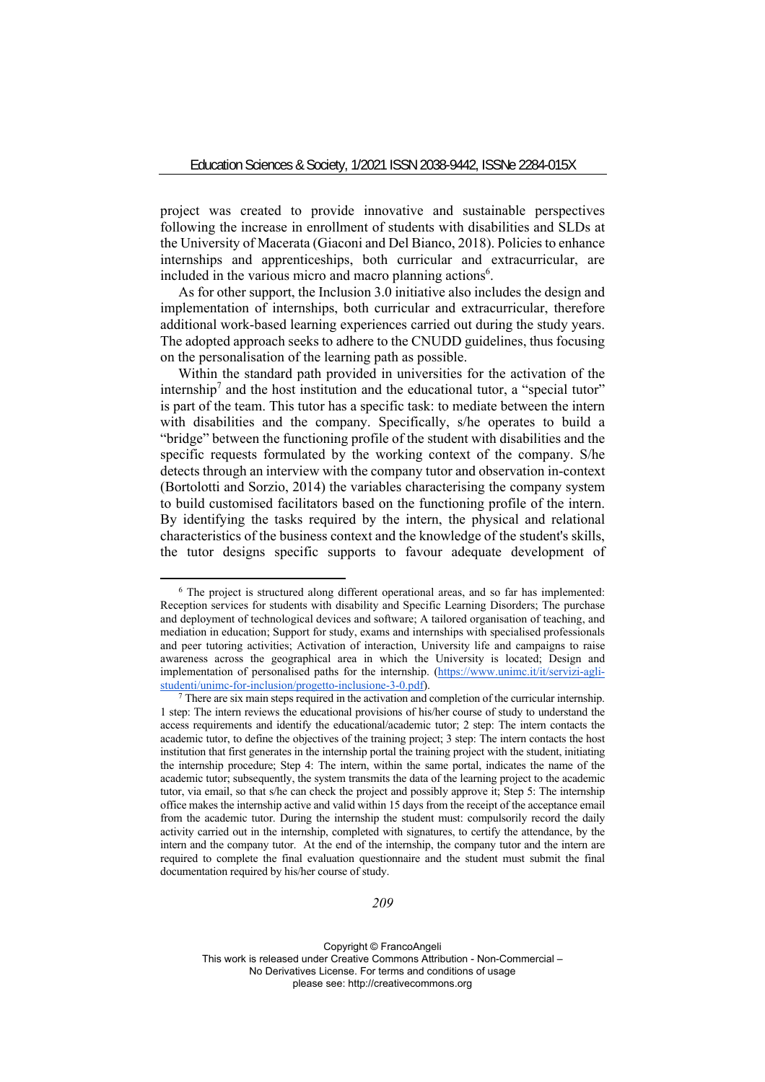project was created to provide innovative and sustainable perspectives following the increase in enrollment of students with disabilities and SLDs at the University of Macerata (Giaconi and Del Bianco, 2018). Policies to enhance internships and apprenticeships, both curricular and extracurricular, are included in the various micro and macro planning actions<sup>6</sup>.

As for other support, the Inclusion 3.0 initiative also includes the design and implementation of internships, both curricular and extracurricular, therefore additional work-based learning experiences carried out during the study years. The adopted approach seeks to adhere to the CNUDD guidelines, thus focusing on the personalisation of the learning path as possible.

Within the standard path provided in universities for the activation of the internship<sup>7</sup> and the host institution and the educational tutor, a "special tutor" is part of the team. This tutor has a specific task: to mediate between the intern with disabilities and the company. Specifically, s/he operates to build a "bridge" between the functioning profile of the student with disabilities and the specific requests formulated by the working context of the company. S/he detects through an interview with the company tutor and observation in-context (Bortolotti and Sorzio, 2014) the variables characterising the company system to build customised facilitators based on the functioning profile of the intern. By identifying the tasks required by the intern, the physical and relational characteristics of the business context and the knowledge of the student's skills, the tutor designs specific supports to favour adequate development of

<sup>6</sup> The project is structured along different operational areas, and so far has implemented: Reception services for students with disability and Specific Learning Disorders; The purchase and deployment of technological devices and software; A tailored organisation of teaching, and mediation in education; Support for study, exams and internships with specialised professionals and peer tutoring activities; Activation of interaction, University life and campaigns to raise awareness across the geographical area in which the University is located; Design and implementation of personalised paths for the internship. (https://www.unimc.it/it/servizi-aglistudenti/unimc-for-inclusion/progetto-inclusione-3-0.pdf). 7 There are six main steps required in the activation and completion of the curricular internship.

<sup>1</sup> step: The intern reviews the educational provisions of his/her course of study to understand the access requirements and identify the educational/academic tutor; 2 step: The intern contacts the academic tutor, to define the objectives of the training project; 3 step: The intern contacts the host institution that first generates in the internship portal the training project with the student, initiating the internship procedure; Step 4: The intern, within the same portal, indicates the name of the academic tutor; subsequently, the system transmits the data of the learning project to the academic tutor, via email, so that s/he can check the project and possibly approve it; Step 5: The internship office makes the internship active and valid within 15 days from the receipt of the acceptance email from the academic tutor. During the internship the student must: compulsorily record the daily activity carried out in the internship, completed with signatures, to certify the attendance, by the intern and the company tutor. At the end of the internship, the company tutor and the intern are required to complete the final evaluation questionnaire and the student must submit the final documentation required by his/her course of study.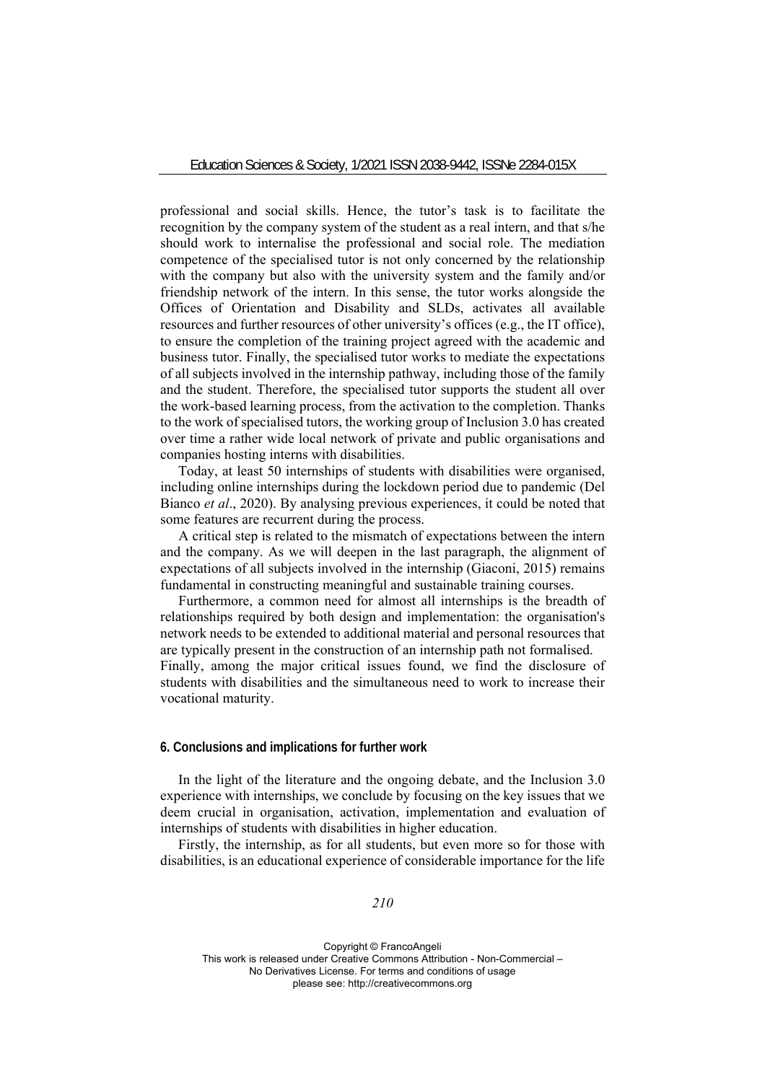professional and social skills. Hence, the tutor's task is to facilitate the recognition by the company system of the student as a real intern, and that s/he should work to internalise the professional and social role. The mediation competence of the specialised tutor is not only concerned by the relationship with the company but also with the university system and the family and/or friendship network of the intern. In this sense, the tutor works alongside the Offices of Orientation and Disability and SLDs, activates all available resources and further resources of other university's offices (e.g., the IT office), to ensure the completion of the training project agreed with the academic and business tutor. Finally, the specialised tutor works to mediate the expectations of all subjects involved in the internship pathway, including those of the family and the student. Therefore, the specialised tutor supports the student all over the work-based learning process, from the activation to the completion. Thanks to the work of specialised tutors, the working group of Inclusion 3.0 has created over time a rather wide local network of private and public organisations and companies hosting interns with disabilities.

Today, at least 50 internships of students with disabilities were organised, including online internships during the lockdown period due to pandemic (Del Bianco *et al*., 2020). By analysing previous experiences, it could be noted that some features are recurrent during the process.

A critical step is related to the mismatch of expectations between the intern and the company. As we will deepen in the last paragraph, the alignment of expectations of all subjects involved in the internship (Giaconi, 2015) remains fundamental in constructing meaningful and sustainable training courses.

Furthermore, a common need for almost all internships is the breadth of relationships required by both design and implementation: the organisation's network needs to be extended to additional material and personal resources that are typically present in the construction of an internship path not formalised. Finally, among the major critical issues found, we find the disclosure of students with disabilities and the simultaneous need to work to increase their vocational maturity.

## **6. Conclusions and implications for further work**

In the light of the literature and the ongoing debate, and the Inclusion 3.0 experience with internships, we conclude by focusing on the key issues that we deem crucial in organisation, activation, implementation and evaluation of internships of students with disabilities in higher education.

Firstly, the internship, as for all students, but even more so for those with disabilities, is an educational experience of considerable importance for the life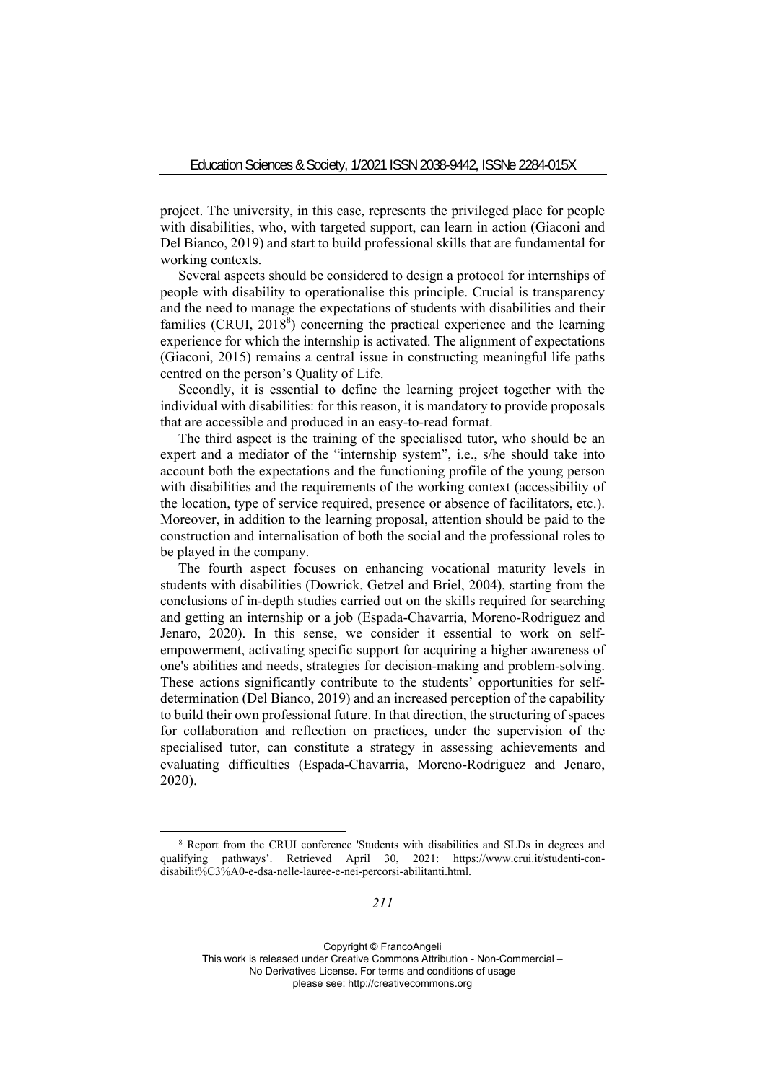project. The university, in this case, represents the privileged place for people with disabilities, who, with targeted support, can learn in action (Giaconi and Del Bianco, 2019) and start to build professional skills that are fundamental for working contexts.

Several aspects should be considered to design a protocol for internships of people with disability to operationalise this principle. Crucial is transparency and the need to manage the expectations of students with disabilities and their families (CRUI,  $2018<sup>8</sup>$ ) concerning the practical experience and the learning experience for which the internship is activated. The alignment of expectations (Giaconi, 2015) remains a central issue in constructing meaningful life paths centred on the person's Quality of Life.

Secondly, it is essential to define the learning project together with the individual with disabilities: for this reason, it is mandatory to provide proposals that are accessible and produced in an easy-to-read format.

The third aspect is the training of the specialised tutor, who should be an expert and a mediator of the "internship system", i.e., s/he should take into account both the expectations and the functioning profile of the young person with disabilities and the requirements of the working context (accessibility of the location, type of service required, presence or absence of facilitators, etc.). Moreover, in addition to the learning proposal, attention should be paid to the construction and internalisation of both the social and the professional roles to be played in the company.

The fourth aspect focuses on enhancing vocational maturity levels in students with disabilities (Dowrick, Getzel and Briel, 2004), starting from the conclusions of in-depth studies carried out on the skills required for searching and getting an internship or a job (Espada-Chavarria, Moreno-Rodriguez and Jenaro, 2020). In this sense, we consider it essential to work on selfempowerment, activating specific support for acquiring a higher awareness of one's abilities and needs, strategies for decision-making and problem-solving. These actions significantly contribute to the students' opportunities for selfdetermination (Del Bianco, 2019) and an increased perception of the capability to build their own professional future. In that direction, the structuring of spaces for collaboration and reflection on practices, under the supervision of the specialised tutor, can constitute a strategy in assessing achievements and evaluating difficulties (Espada-Chavarria, Moreno-Rodriguez and Jenaro, 2020).

<sup>8</sup> Report from the CRUI conference 'Students with disabilities and SLDs in degrees and qualifying pathways'. Retrieved April 30, 2021: https://www.crui.it/studenti-condisabilit%C3%A0-e-dsa-nelle-lauree-e-nei-percorsi-abilitanti.html.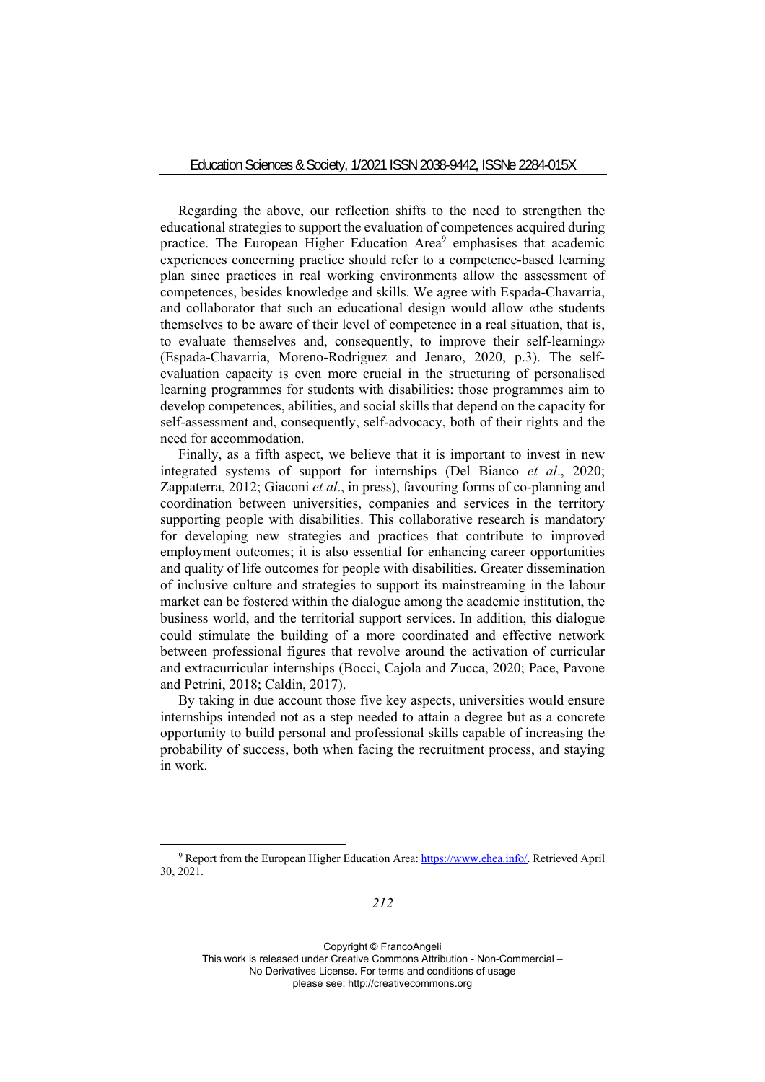Regarding the above, our reflection shifts to the need to strengthen the educational strategies to support the evaluation of competences acquired during practice. The European Higher Education Area<sup>9</sup> emphasises that academic experiences concerning practice should refer to a competence-based learning plan since practices in real working environments allow the assessment of competences, besides knowledge and skills. We agree with Espada-Chavarria, and collaborator that such an educational design would allow «the students themselves to be aware of their level of competence in a real situation, that is, to evaluate themselves and, consequently, to improve their self-learning» (Espada-Chavarria, Moreno-Rodriguez and Jenaro, 2020, p.3). The selfevaluation capacity is even more crucial in the structuring of personalised learning programmes for students with disabilities: those programmes aim to develop competences, abilities, and social skills that depend on the capacity for self-assessment and, consequently, self-advocacy, both of their rights and the need for accommodation.

Finally, as a fifth aspect, we believe that it is important to invest in new integrated systems of support for internships (Del Bianco *et al*., 2020; Zappaterra, 2012; Giaconi *et al*., in press), favouring forms of co-planning and coordination between universities, companies and services in the territory supporting people with disabilities. This collaborative research is mandatory for developing new strategies and practices that contribute to improved employment outcomes; it is also essential for enhancing career opportunities and quality of life outcomes for people with disabilities. Greater dissemination of inclusive culture and strategies to support its mainstreaming in the labour market can be fostered within the dialogue among the academic institution, the business world, and the territorial support services. In addition, this dialogue could stimulate the building of a more coordinated and effective network between professional figures that revolve around the activation of curricular and extracurricular internships (Bocci, Cajola and Zucca, 2020; Pace, Pavone and Petrini, 2018; Caldin, 2017).

By taking in due account those five key aspects, universities would ensure internships intended not as a step needed to attain a degree but as a concrete opportunity to build personal and professional skills capable of increasing the probability of success, both when facing the recruitment process, and staying in work.

*212* 

<sup>9</sup> Report from the European Higher Education Area: https://www.ehea.info/. Retrieved April 30, 2021.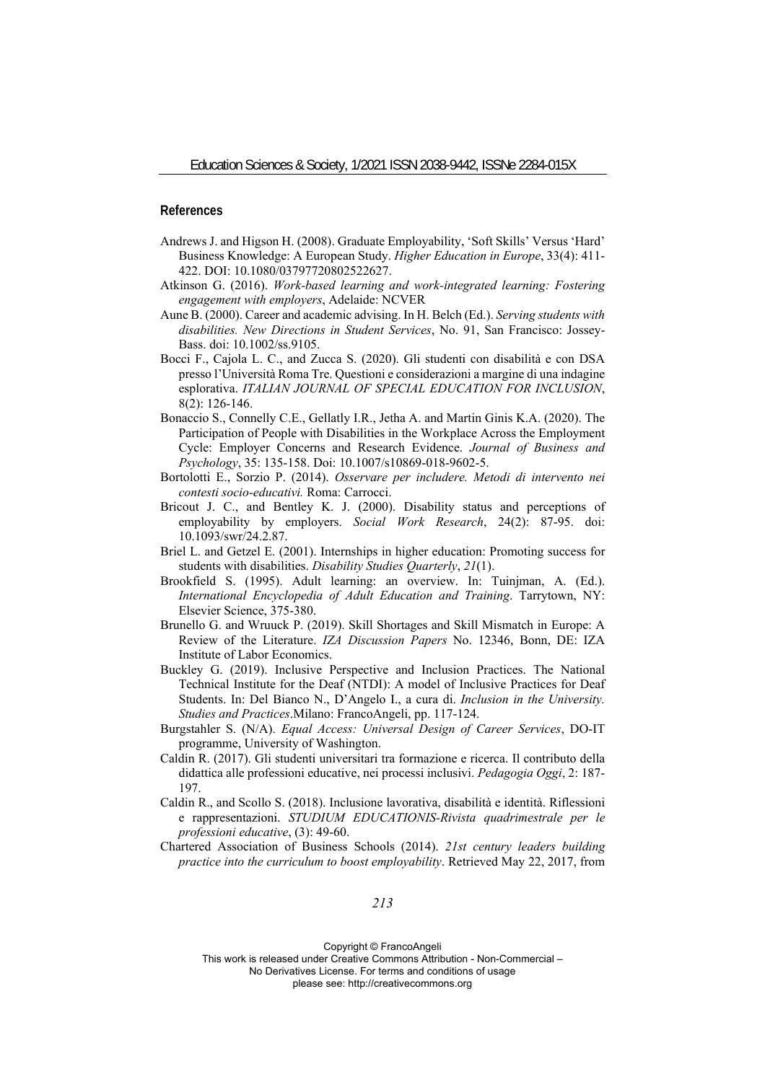#### **References**

- Andrews J. and Higson H. (2008). Graduate Employability, 'Soft Skills' Versus 'Hard' Business Knowledge: A European Study. *Higher Education in Europe*, 33(4): 411- 422. DOI: 10.1080/03797720802522627.
- Atkinson G. (2016). *Work-based learning and work-integrated learning: Fostering engagement with employers*, Adelaide: NCVER
- Aune B. (2000). Career and academic advising. In H. Belch (Ed.). *Serving students with disabilities. New Directions in Student Services*, No. 91, San Francisco: Jossey-Bass. doi: 10.1002/ss.9105.
- Bocci F., Cajola L. C., and Zucca S. (2020). Gli studenti con disabilità e con DSA presso l'Università Roma Tre. Questioni e considerazioni a margine di una indagine esplorativa. *ITALIAN JOURNAL OF SPECIAL EDUCATION FOR INCLUSION*, 8(2): 126-146.
- Bonaccio S., Connelly C.E., Gellatly I.R., Jetha A. and Martin Ginis K.A. (2020). The Participation of People with Disabilities in the Workplace Across the Employment Cycle: Employer Concerns and Research Evidence. *Journal of Business and Psychology*, 35: 135-158. Doi: 10.1007/s10869-018-9602-5.
- Bortolotti E., Sorzio P. (2014). *Osservare per includere. Metodi di intervento nei contesti socio-educativi.* Roma: Carrocci.
- Bricout J. C., and Bentley K. J. (2000). Disability status and perceptions of employability by employers. *Social Work Research*, 24(2): 87-95. doi: 10.1093/swr/24.2.87.
- Briel L. and Getzel E. (2001). Internships in higher education: Promoting success for students with disabilities. *Disability Studies Quarterly*, *21*(1).
- Brookfield S. (1995). Adult learning: an overview. In: Tuinjman, A. (Ed.). *International Encyclopedia of Adult Education and Training*. Tarrytown, NY: Elsevier Science, 375-380.
- Brunello G. and Wruuck P. (2019). Skill Shortages and Skill Mismatch in Europe: A Review of the Literature. *IZA Discussion Papers* No. 12346, Bonn, DE: IZA Institute of Labor Economics.
- Buckley G. (2019). Inclusive Perspective and Inclusion Practices. The National Technical Institute for the Deaf (NTDI): A model of Inclusive Practices for Deaf Students. In: Del Bianco N., D'Angelo I., a cura di. *Inclusion in the University. Studies and Practices*.Milano: FrancoAngeli, pp. 117-124.
- Burgstahler S. (N/A). *Equal Access: Universal Design of Career Services*, DO-IT programme, University of Washington.
- Caldin R. (2017). Gli studenti universitari tra formazione e ricerca. Il contributo della didattica alle professioni educative, nei processi inclusivi. *Pedagogia Oggi*, 2: 187- 197.
- Caldin R., and Scollo S. (2018). Inclusione lavorativa, disabilità e identità. Riflessioni e rappresentazioni. *STUDIUM EDUCATIONIS-Rivista quadrimestrale per le professioni educative*, (3): 49-60.

Chartered Association of Business Schools (2014). *21st century leaders building practice into the curriculum to boost employability*. Retrieved May 22, 2017, from

Copyright © FrancoAngeli

This work is released under Creative Commons Attribution - Non-Commercial – No Derivatives License. For terms and conditions of usage

please see: http://creativecommons.org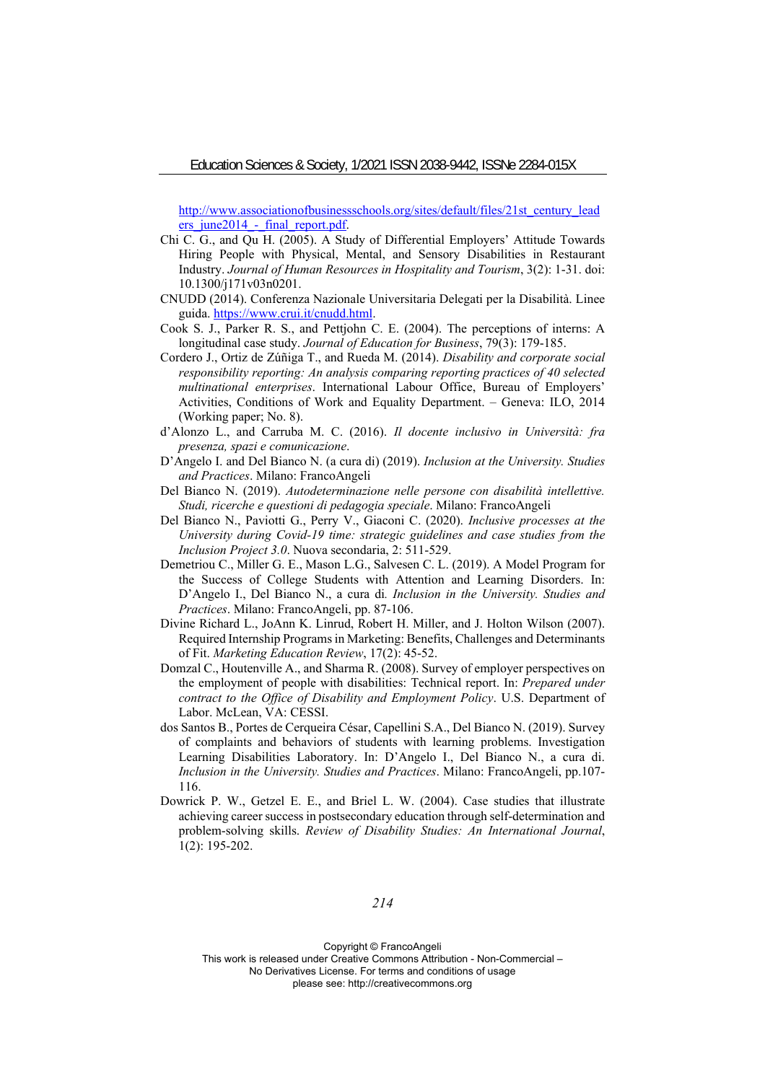http://www.associationofbusinessschools.org/sites/default/files/21st\_century\_lead ers june2014 - final report.pdf.

- Chi C. G., and Qu H. (2005). A Study of Differential Employers' Attitude Towards Hiring People with Physical, Mental, and Sensory Disabilities in Restaurant Industry. *Journal of Human Resources in Hospitality and Tourism*, 3(2): 1-31. doi: 10.1300/j171v03n0201.
- CNUDD (2014). Conferenza Nazionale Universitaria Delegati per la Disabilità. Linee guida. https://www.crui.it/cnudd.html.
- Cook S. J., Parker R. S., and Pettjohn C. E. (2004). The perceptions of interns: A longitudinal case study. *Journal of Education for Business*, 79(3): 179-185.
- Cordero J., Ortiz de Zúñiga T., and Rueda M. (2014). *Disability and corporate social responsibility reporting: An analysis comparing reporting practices of 40 selected multinational enterprises*. International Labour Office, Bureau of Employers' Activities, Conditions of Work and Equality Department. – Geneva: ILO, 2014 (Working paper; No. 8).
- d'Alonzo L., and Carruba M. C. (2016). *Il docente inclusivo in Università: fra presenza, spazi e comunicazione*.
- D'Angelo I. and Del Bianco N. (a cura di) (2019). *Inclusion at the University. Studies and Practices*. Milano: FrancoAngeli
- Del Bianco N. (2019). *Autodeterminazione nelle persone con disabilità intellettive. Studi, ricerche e questioni di pedagogia speciale*. Milano: FrancoAngeli
- Del Bianco N., Paviotti G., Perry V., Giaconi C. (2020). *Inclusive processes at the University during Covid-19 time: strategic guidelines and case studies from the Inclusion Project 3.0*. Nuova secondaria, 2: 511-529.
- Demetriou C., Miller G. E., Mason L.G., Salvesen C. L. (2019). A Model Program for the Success of College Students with Attention and Learning Disorders. In: D'Angelo I., Del Bianco N., a cura di*. Inclusion in the University. Studies and Practices*. Milano: FrancoAngeli, pp. 87-106.
- Divine Richard L., JoAnn K. Linrud, Robert H. Miller, and J. Holton Wilson (2007). Required Internship Programs in Marketing: Benefits, Challenges and Determinants of Fit. *Marketing Education Review*, 17(2): 45-52.
- Domzal C., Houtenville A., and Sharma R. (2008). Survey of employer perspectives on the employment of people with disabilities: Technical report. In: *Prepared under contract to the Office of Disability and Employment Policy*. U.S. Department of Labor. McLean, VA: CESSI.
- dos Santos B., Portes de Cerqueira César, Capellini S.A., Del Bianco N. (2019). Survey of complaints and behaviors of students with learning problems. Investigation Learning Disabilities Laboratory. In: D'Angelo I., Del Bianco N., a cura di. *Inclusion in the University. Studies and Practices*. Milano: FrancoAngeli, pp.107- 116.
- Dowrick P. W., Getzel E. E., and Briel L. W. (2004). Case studies that illustrate achieving career success in postsecondary education through self-determination and problem-solving skills. *Review of Disability Studies: An International Journal*, 1(2): 195-202.

*214*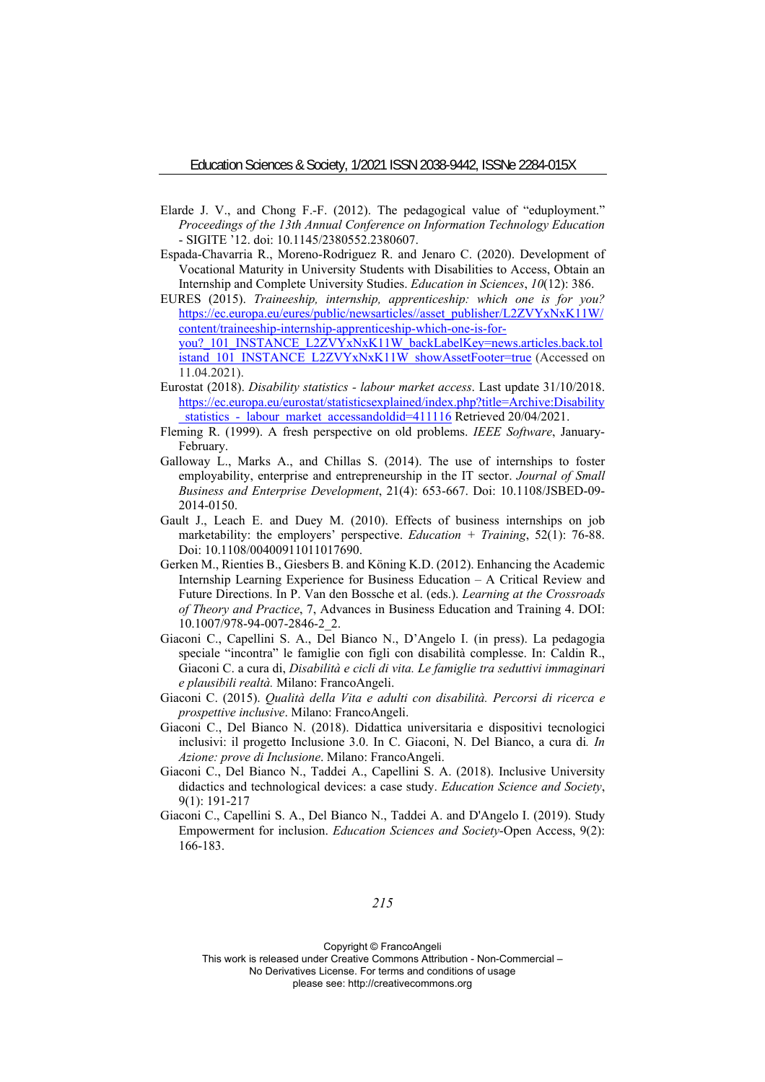- Elarde J. V., and Chong F.-F. (2012). The pedagogical value of "eduployment." *Proceedings of the 13th Annual Conference on Information Technology Education* - SIGITE '12. doi: 10.1145/2380552.2380607.
- Espada-Chavarria R., Moreno-Rodriguez R. and Jenaro C. (2020). Development of Vocational Maturity in University Students with Disabilities to Access, Obtain an Internship and Complete University Studies. *Education in Sciences*, *10*(12): 386.
- EURES (2015). *Traineeship, internship, apprenticeship: which one is for you?*  https://ec.europa.eu/eures/public/newsarticles//asset\_publisher/L2ZVYxNxK11W/ content/traineeship-internship-apprenticeship-which-one-is-foryou? 101\_INSTANCE\_L2ZVYxNxK11W\_backLabelKey=news.articles.back.tol istand\_101\_INSTANCE\_L2ZVYxNxK11W\_showAssetFooter=true (Accessed on 11.04.2021).
- Eurostat (2018). *Disability statistics labour market access*. Last update 31/10/2018. https://ec.europa.eu/eurostat/statisticsexplained/index.php?title=Archive:Disability statistics - labour market accessandoldid=411116 Retrieved 20/04/2021.
- Fleming R. (1999). A fresh perspective on old problems. *IEEE Software*, January-February.
- Galloway L., Marks A., and Chillas S. (2014). The use of internships to foster employability, enterprise and entrepreneurship in the IT sector. *Journal of Small Business and Enterprise Development*, 21(4): 653-667. Doi: 10.1108/JSBED-09- 2014-0150.
- Gault J., Leach E. and Duey M. (2010). Effects of business internships on job marketability: the employers' perspective. *Education + Training*, 52(1): 76-88. Doi: 10.1108/00400911011017690.
- Gerken M., Rienties B., Giesbers B. and Köning K.D. (2012). Enhancing the Academic Internship Learning Experience for Business Education – A Critical Review and Future Directions. In P. Van den Bossche et al. (eds.). *Learning at the Crossroads of Theory and Practice*, 7, Advances in Business Education and Training 4. DOI: 10.1007/978-94-007-2846-2\_2.
- Giaconi C., Capellini S. A., Del Bianco N., D'Angelo I. (in press). La pedagogia speciale "incontra" le famiglie con figli con disabilità complesse. In: Caldin R., Giaconi C. a cura di, *Disabilità e cicli di vita. Le famiglie tra seduttivi immaginari e plausibili realtà.* Milano: FrancoAngeli.
- Giaconi C. (2015). *Qualità della Vita e adulti con disabilità. Percorsi di ricerca e prospettive inclusive*. Milano: FrancoAngeli.
- Giaconi C., Del Bianco N. (2018). Didattica universitaria e dispositivi tecnologici inclusivi: il progetto Inclusione 3.0. In C. Giaconi, N. Del Bianco, a cura di*. In Azione: prove di Inclusione*. Milano: FrancoAngeli.
- Giaconi C., Del Bianco N., Taddei A., Capellini S. A. (2018). Inclusive University didactics and technological devices: a case study. *Education Science and Society*, 9(1): 191-217
- Giaconi C., Capellini S. A., Del Bianco N., Taddei A. and D'Angelo I. (2019). Study Empowerment for inclusion. *Education Sciences and Society*-Open Access, 9(2): 166-183.

*215*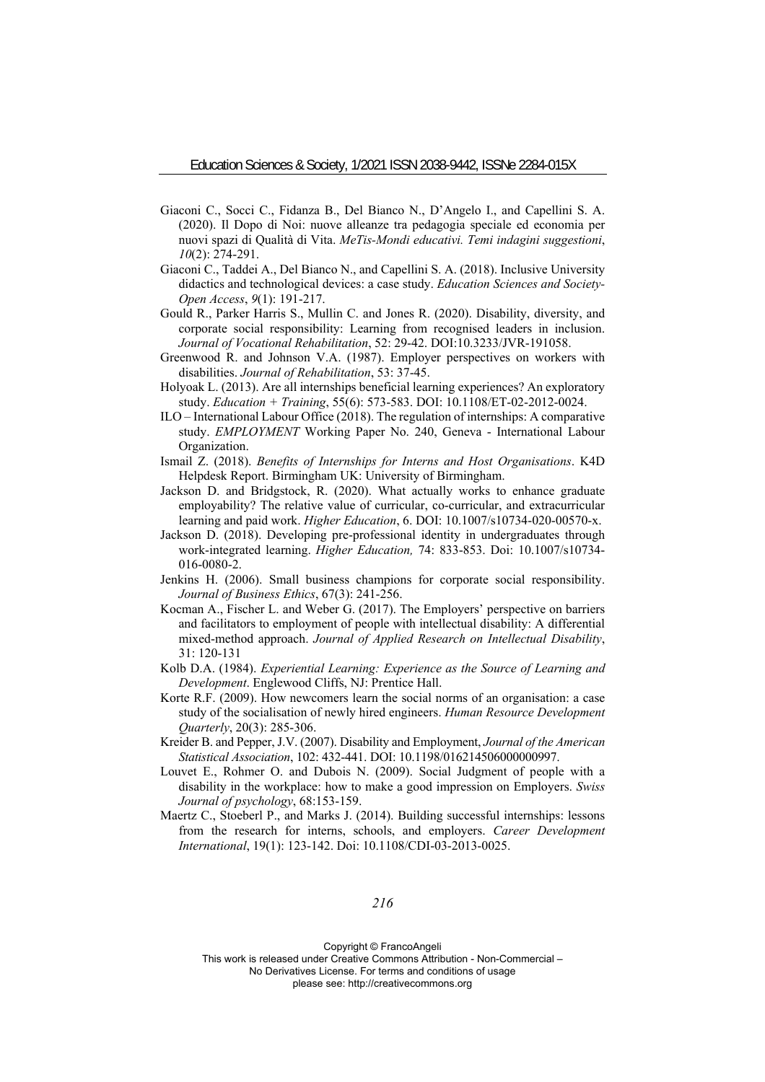- Giaconi C., Socci C., Fidanza B., Del Bianco N., D'Angelo I., and Capellini S. A. (2020). Il Dopo di Noi: nuove alleanze tra pedagogia speciale ed economia per nuovi spazi di Qualità di Vita. *MeTis-Mondi educativi. Temi indagini suggestioni*, *10*(2): 274-291.
- Giaconi C., Taddei A., Del Bianco N., and Capellini S. A. (2018). Inclusive University didactics and technological devices: a case study. *Education Sciences and Society-Open Access*, *9*(1): 191-217.
- Gould R., Parker Harris S., Mullin C. and Jones R. (2020). Disability, diversity, and corporate social responsibility: Learning from recognised leaders in inclusion. *Journal of Vocational Rehabilitation*, 52: 29-42. DOI:10.3233/JVR-191058.
- Greenwood R. and Johnson V.A. (1987). Employer perspectives on workers with disabilities. *Journal of Rehabilitation*, 53: 37-45.
- Holyoak L. (2013). Are all internships beneficial learning experiences? An exploratory study. *Education + Training*, 55(6): 573-583. DOI: 10.1108/ET-02-2012-0024.
- ILO International Labour Office (2018). The regulation of internships: A comparative study. *EMPLOYMENT* Working Paper No. 240, Geneva - International Labour Organization.
- Ismail Z. (2018). *Benefits of Internships for Interns and Host Organisations*. K4D Helpdesk Report. Birmingham UK: University of Birmingham.
- Jackson D. and Bridgstock, R. (2020). What actually works to enhance graduate employability? The relative value of curricular, co-curricular, and extracurricular learning and paid work. *Higher Education*, 6. DOI: 10.1007/s10734-020-00570-x.
- Jackson D. (2018). Developing pre-professional identity in undergraduates through work-integrated learning. *Higher Education,* 74: 833-853. Doi: 10.1007/s10734- 016-0080-2.
- Jenkins H. (2006). Small business champions for corporate social responsibility. *Journal of Business Ethics*, 67(3): 241-256.
- Kocman A., Fischer L. and Weber G. (2017). The Employers' perspective on barriers and facilitators to employment of people with intellectual disability: A differential mixed-method approach. *Journal of Applied Research on Intellectual Disability*, 31: 120-131
- Kolb D.A. (1984). *Experiential Learning: Experience as the Source of Learning and Development*. Englewood Cliffs, NJ: Prentice Hall.
- Korte R.F. (2009). How newcomers learn the social norms of an organisation: a case study of the socialisation of newly hired engineers. *Human Resource Development Quarterly*, 20(3): 285-306.
- Kreider B. and Pepper, J.V. (2007). Disability and Employment, *Journal of the American Statistical Association*, 102: 432-441. DOI: 10.1198/016214506000000997.
- Louvet E., Rohmer O. and Dubois N. (2009). Social Judgment of people with a disability in the workplace: how to make a good impression on Employers. *Swiss Journal of psychology*, 68:153-159.
- Maertz C., Stoeberl P., and Marks J. (2014). Building successful internships: lessons from the research for interns, schools, and employers. *Career Development International*, 19(1): 123-142. Doi: 10.1108/CDI-03-2013-0025.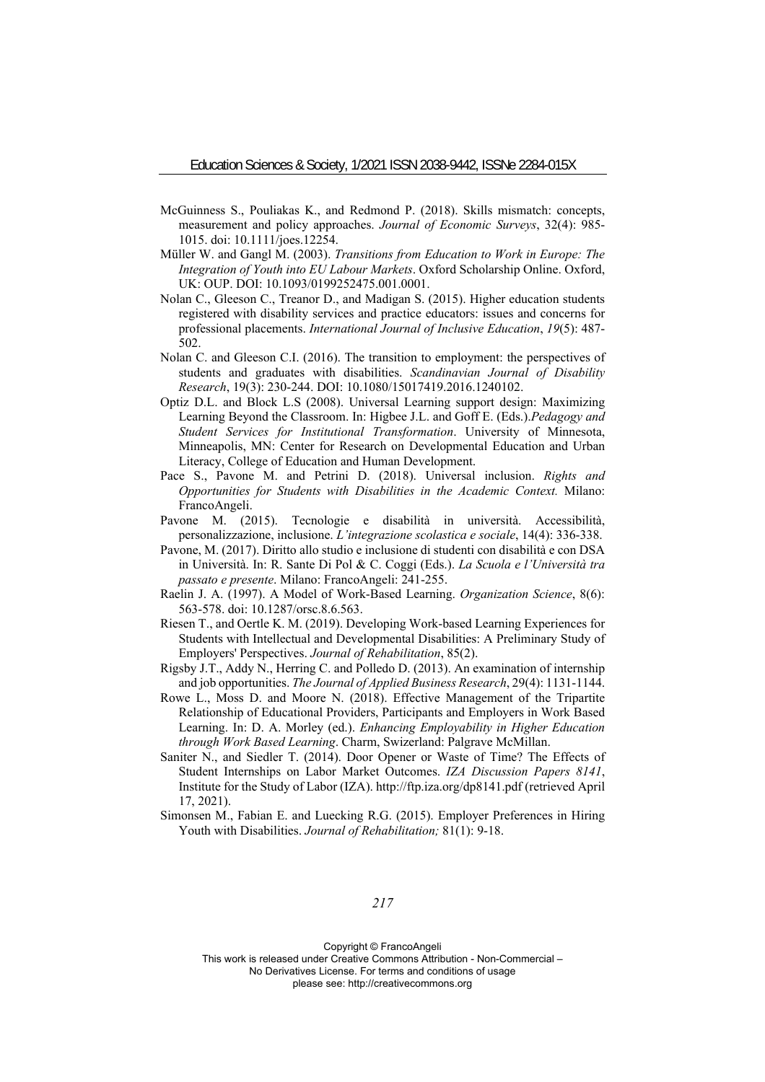- McGuinness S., Pouliakas K., and Redmond P. (2018). Skills mismatch: concepts, measurement and policy approaches. *Journal of Economic Surveys*, 32(4): 985- 1015. doi: 10.1111/joes.12254.
- Müller W. and Gangl M. (2003). *Transitions from Education to Work in Europe: The Integration of Youth into EU Labour Markets*. Oxford Scholarship Online. Oxford, UK: OUP. DOI: 10.1093/0199252475.001.0001.
- Nolan C., Gleeson C., Treanor D., and Madigan S. (2015). Higher education students registered with disability services and practice educators: issues and concerns for professional placements. *International Journal of Inclusive Education*, *19*(5): 487- 502.
- Nolan C. and Gleeson C.I. (2016). The transition to employment: the perspectives of students and graduates with disabilities. *Scandinavian Journal of Disability Research*, 19(3): 230-244. DOI: 10.1080/15017419.2016.1240102.
- Optiz D.L. and Block L.S (2008). Universal Learning support design: Maximizing Learning Beyond the Classroom. In: Higbee J.L. and Goff E. (Eds.).*Pedagogy and Student Services for Institutional Transformation*. University of Minnesota, Minneapolis, MN: Center for Research on Developmental Education and Urban Literacy, College of Education and Human Development.
- Pace S., Pavone M. and Petrini D. (2018). Universal inclusion. *Rights and Opportunities for Students with Disabilities in the Academic Context.* Milano: FrancoAngeli.
- Pavone M. (2015). Tecnologie e disabilità in università. Accessibilità, personalizzazione, inclusione. *L'integrazione scolastica e sociale*, 14(4): 336-338.
- Pavone, M. (2017). Diritto allo studio e inclusione di studenti con disabilità e con DSA in Università. In: R. Sante Di Pol & C. Coggi (Eds.). *La Scuola e l'Università tra passato e presente*. Milano: FrancoAngeli: 241-255.
- Raelin J. A. (1997). A Model of Work-Based Learning. *Organization Science*, 8(6): 563-578. doi: 10.1287/orsc.8.6.563.
- Riesen T., and Oertle K. M. (2019). Developing Work-based Learning Experiences for Students with Intellectual and Developmental Disabilities: A Preliminary Study of Employers' Perspectives. *Journal of Rehabilitation*, 85(2).
- Rigsby J.T., Addy N., Herring C. and Polledo D. (2013). An examination of internship and job opportunities. *The Journal of Applied Business Research*, 29(4): 1131-1144.
- Rowe L., Moss D. and Moore N. (2018). Effective Management of the Tripartite Relationship of Educational Providers, Participants and Employers in Work Based Learning. In: D. A. Morley (ed.). *Enhancing Employability in Higher Education through Work Based Learning*. Charm, Swizerland: Palgrave McMillan.
- Saniter N., and Siedler T. (2014). Door Opener or Waste of Time? The Effects of Student Internships on Labor Market Outcomes. *IZA Discussion Papers 8141*, Institute for the Study of Labor (IZA). http://ftp.iza.org/dp8141.pdf (retrieved April 17, 2021).
- Simonsen M., Fabian E. and Luecking R.G. (2015). Employer Preferences in Hiring Youth with Disabilities. *Journal of Rehabilitation;* 81(1): 9-18.

*217*